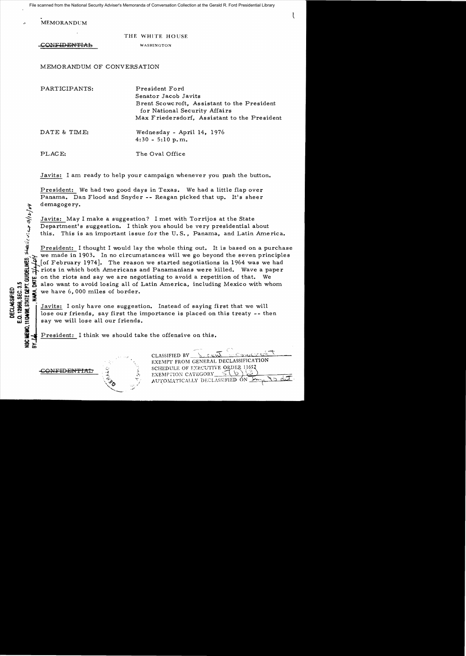File scanned from the National Security Adviser's Memoranda of Conversation Collection at the Gerald R. Ford Presidential Library

**MEMORANDUM** 

*rate (;)* 

**EXEC** 

**DECLA<br>0.1295**<br>12498, S **11/24/98. STATE DEPT.** 

**VSC HEMO.** 

 $\geq$ 

THE WHITE HOUSE

CONFIDENTIAL WASHINGTON

MEMORANDUM OF CONVERSATION

| PARTICIPANTS: | President Ford<br>Senator Jacob Javits<br>Brent Scowcroft, Assistant to the President<br>for National Security Affairs<br>Max Friedersdorf, Assistant to the President |
|---------------|------------------------------------------------------------------------------------------------------------------------------------------------------------------------|
| DATE & TIME:  | Wednesday - April 14, 1976<br>$4:30 - 5:10$ p.m.                                                                                                                       |
| PLACE:        | The Oval Office                                                                                                                                                        |

Javits: I am ready to help your campaign whenever you push the button.

President: We had two good days in Texas. We had a little flap over Panama. Dan Flood and Snyder -- Reagan picked that up. It's sheer demagogery.

Javits: May I make a suggestion? I met with Torrijos at the State Department's suggestion. I think you should be very presidential about this. This is an important issue for the U.S.. Panama, and Latin Ame This is an important issue for the U.S., Panama, and Latin America.

President: I thought I would lay the whole thing out. It is based on a purchase We made in 1903. In no circumstances will we go beyond the seven principles<br>  $\frac{100}{100}$  of February 1974]. The reason we started negotiations in 1964 was we had<br>
The riots in which both Americans and Panamanians were k  $[$  of February 1974]. The reason we started negotiations in 1964 was we had we made in 1903. In no circumstances will we go beyond the seven principle<br>[of February 1974]. The reason we started negotiations in 1964 was we had<br>priots in which both Americans and Panamanians were killed. Wave a paper on the riots and say we are negotiating to avoid a repetition of that. We  $\lesssim$  also want to avoid losing all of Latin America, including Mexico with whom<br>we have 6,000 miles of border.  $5.8922$ 

In ci ::.If <sup>~</sup>we have 6,000 Il1iles of border.  $\frac{3}{2}$   $\frac{3}{2}$   $\frac{5}{2}$   $\frac{7}{2}$  Javits: I only have one suggestion. Instead of saying first that we will lose our friends, say first the importance is placed on this treaty -- then *say* we will lose all our friends.

President: I think we should take the offensive on this.

 $\mathbb{R}^n \longrightarrow \mathbb{R}^n$  , where  $\mathbb{R}^n \longrightarrow \mathbb{R}^n$ CLASSIFIED BY EXEMPT FROM GENERAL DECLASSIFICATION SCHEDULE OF EXECUTIVE ORDER 1165<br>EXEMPTION CATEGORY S(b)

l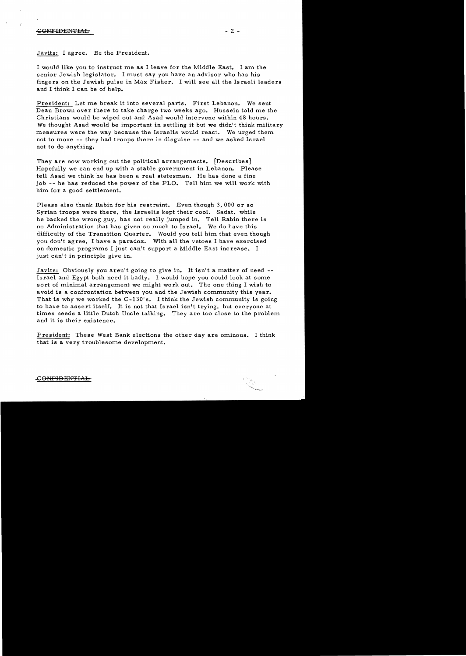## (CONFIDENTIAL) - 2 -

,

Javits: I agree. Be the President.

I would like you to instruct me as I leave for the Middle East. I am the senior Jewish legislator. I must say you have an advisor who has his fingers on the Jewish pulse in Max Fisher. I will see all the Israeli leaders and I think I can be of help.

President: Let me break it into several parts. First Lebanon. We sent Dean Brown over there to take charge two weeks ago. Hussein told me the Christians would be wiped out and Asad would intervene within 48 hours. We thought Asad would be important in settling it but we didn't think military measures were the way because the Israelis would react. We urged them not to move -- they had troops there in disguise -- and we asked Israel not to do anything.

They are now working out the political arrangements. [Describes] Hopefully we can end up with a stable government in Lebanon. Please tell Asad we think he has been a real statesman. He has done a fine job -- he has reduced the power of the PLO. Tell him we will work with him for a good settlement.

Please also thank Rabin for his restraint. Even though 3,000 or so Syrian troops were there, the Israelis kept their cool. Sadat, while he backed the wrong guy, has not really jumped in. Tell Rabin there is no Administration that has given so much to Israel. We do have this difficulty of the Transition Quarter. Would you tell him that even though you don't agree, I have a paradox. With all the vetoes I have exercised on domestic programs I just can't support a Middle East inc rease. I just can't in principle give in.

Javits: Obviously you aren't going to give in. It isn't a matter of need - Israel and Egypt both need it badly. I would hope you could look at some sort of minimal arrangement we might work out. The one thing I wish to avoid is a confrontation between you and the Jewish community this year. That is why we worked the C-130's. I think the Jewish community is going to have to assert itself. It is not that Israel isn't trying, but everyone at times needs a little Dutch Uncle talking. They are too close to the problem and it is their existence.

President: These West Bank elections the other day are ominous. I think that is a very troublesome development.

-GONF1D:Et-l'FIAb

 $\mathcal{L}_{\mathcal{O}}$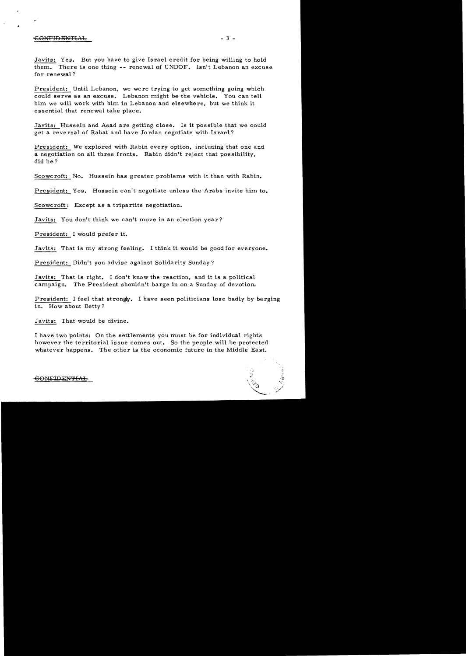## -CONFIDB:NTIAb - 3 -

Javits: Yes. But you have to give Israel credit for being willing to hold them. There is one thing -- renewal of UNDOF. Isn't Lebanon an excuse for renewal?

President: Until Lebanon, we were trying to get something going which could serve as an excuse. Lebanon might be the vehicle. You can tell him we will work with him in Lebanon and elsewhere, but we think it essential that renewal take place.

Javits: Hussein and Asad are getting close. Is it possible that we could get a reversal of Rabat and have Jordan negotiate with Israel?

President: We explored with Rabin every option, including that one and a negotiation on all three fronts. Rabin didn't reject that possibility, did he?

Scowcroft: No. Hussein has greater problems with it than with Rabin.

President: Yes. Hussein can't negotiate unless the Arabs invite him to.

Scowcroft: Except as a tripartite negotiation.

Javits: You don't think we can't move in an election year?

President: I would prefer it.

Javits: That is my strong feeling. I think it would be good for everyone.

President: Didn't you advise against Solidarity Sunday?

Javits: That is right. I don't know the reaction, and it is a political campaign. The President shouldn't barge in on a Sunday of devotion.

President: I feel that strongly. I have seen politicians lose badly by barging in. How about Betty?

Javits: That would be divine.

I have two points: On the settlements you must be for individual rights however the territorial issue comes out. So the people will be protected whatever happens. The other is the economic future in the Middle East.

## GONEIDENTIAL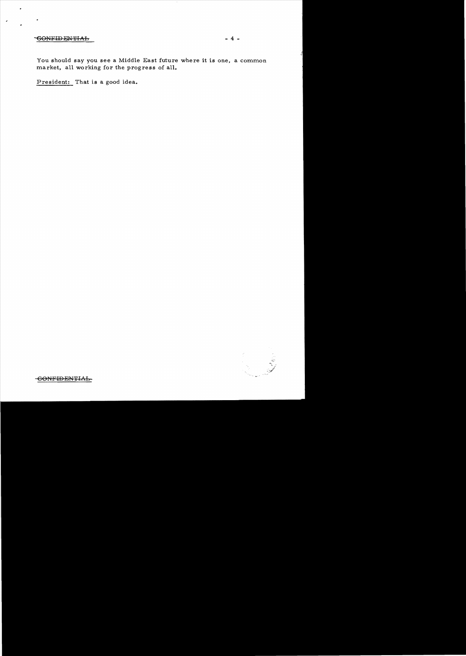## -GONFID ENTIAL - 4 -

You should say you see a Middle East future where it is one, a common market, all working for the progress of all.

President: That is a good idea.



CONFIDENTIAL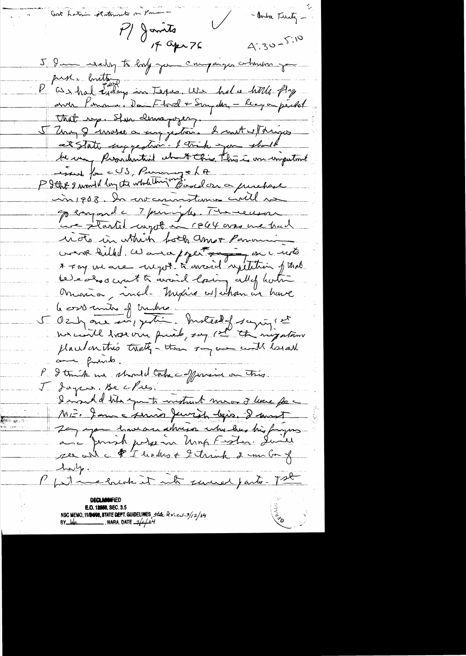Cost Latin statements on P. - Anta Turity - $\sqrt{ }$  $H/8$ amits  $4:30 - 5:10$  $14$  apr 76 5 dans really to hay you company a communication puse lost P'as had todays in Texes, us hole http ante Pomma! Dan Flord + Smychen - Recy amperhol Unit up. Shin climaging. 5 Zong & involue a surg jestier. I met w/Arriges at State upperture- I trish you should be many Resordantial about this This is an important P Ith& I would long the wholething on the form of processed in1903. In uncommentance cuill me Deayard = 7 purigles. Meseasar we started cagot in 1844 and me had u de in Ahin foch amor Paraining vous hilhel. Ce avant papert que me mesto be earns want to avoid losing allof hatin Musica, incl-Mysine espehan un have le cost unite of traders instead of saying set plant on this tracte - there in me with loss and am formule. I trip un should take of pries on this.  $\mathcal{P}_{\mathbb{R}^+}$ J. Layen, Be ches. I monded who you to instruct means I like for a MI: Jonne surior Jeurith bais. 2 mont Tay you have an always who has his frages aie Jurish potre in Ump Fisher. Qu'il per all a \$ I leades + I trink 2 min bom of  $\frac{1}{\sqrt{2}}$ l'patmentant et suverparts- Tob E.O. 12058, SEC. 3.5 NSC MEMO, 11/24/08, STATE DEPT. GUIDELINES, state  $Rv_1 = 3/2/64$ <br>BY local Responses ... NARA. DATE  $-7/1/24$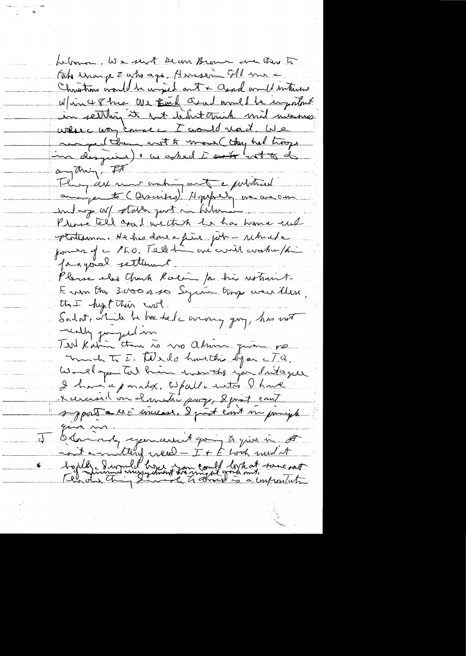Lebmon, We shot Dean Brown are the 5 Total emange z who ago, Amserin Gll me a Christians would be wined out & and would interested W/work 8 hrs We Kind and and le important in settling it but didn't think mid minimum where way course I would read. We accept them with move (they had troops in disguir) i washed I sent int to do  $\alpha$  thing,  $\overline{H}$ Thing all mon omting and a publical avenigents (Discribes). Agrepoly me avecur Prosé tell coal aitette de ha homa und Flortesmon. Ne his donc a fine jut - returnale fongorel retternt Plance also thank Robin for his ustraint. Eum the susans Symmethys was there, tts I hypt their west. Salat, atuil la bee tele avong guy, has not Test Ratin there is no almos guin po much II. Wedo hurthis lijan c/a. he relige at him won the you butage 2 hours aparadox. Apalle entre I have Kurusil on Landie prof. 2 prof emp support a ME inciens. I just cont un principale Odonialy you arrived - It E look med it  $\bigstar^-$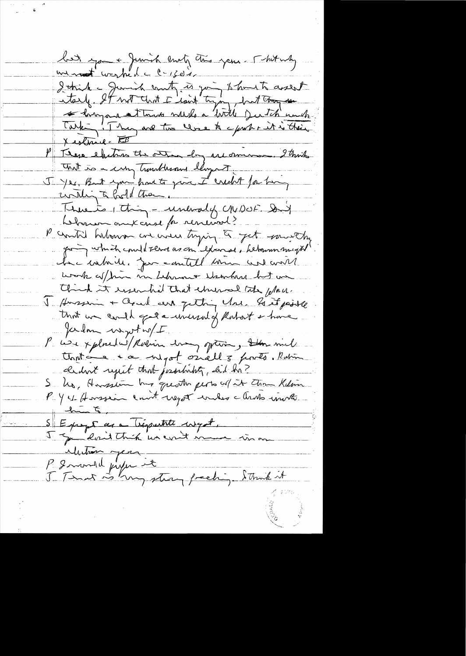but you a Junior enety the your - That why unimot werked c l'esseix I think a Juniob country is going to hunt assent itaille. It with that I loint trying but toon and Xistmile To Lestrue chetins the other day are ominion. 2 think unt is a comptanterant loyers inthin à foot d'annemarche compose sont bebonne omkanse for renewal? P contr't below one were trying to get musthy going which could send as on examed, heroummught he while for could me we will work of him in Librarie Warrhin but we think it essential that churcal tite follows I Aussin + april and getting Use Get pointe troit un could grée invisatif Ratort + have Jardon waget w/I. l'use x placed at / Robin drong often, the mil that are whyat onells forts. Run clednt repet that joschntig, he ha? S. Us, Hussler hus quote perto al it than Kilain P. Y. y. Honsein court regot inder clarks invete.  $\frac{1}{\sqrt{1-\frac{1}{2}}}\frac{1}{\sqrt{1-\frac{1}{2}}}\frac{1}{\sqrt{1-\frac{1}{2}}}\frac{1}{\sqrt{1-\frac{1}{2}}}\frac{1}{\sqrt{1-\frac{1}{2}}}\frac{1}{\sqrt{1-\frac{1}{2}}}\frac{1}{\sqrt{1-\frac{1}{2}}}\frac{1}{\sqrt{1-\frac{1}{2}}}\frac{1}{\sqrt{1-\frac{1}{2}}}\frac{1}{\sqrt{1-\frac{1}{2}}}\frac{1}{\sqrt{1-\frac{1}{2}}}\frac{1}{\sqrt{1-\frac{1}{2}}}\frac{1}{\sqrt{1-\frac{1}{2}}}\frac{1}{\sqrt{1-\frac{$ SE propos as a Trésputite croyet. Mutin year K Invental juger et J Tent is buy strong freehing. Struck it